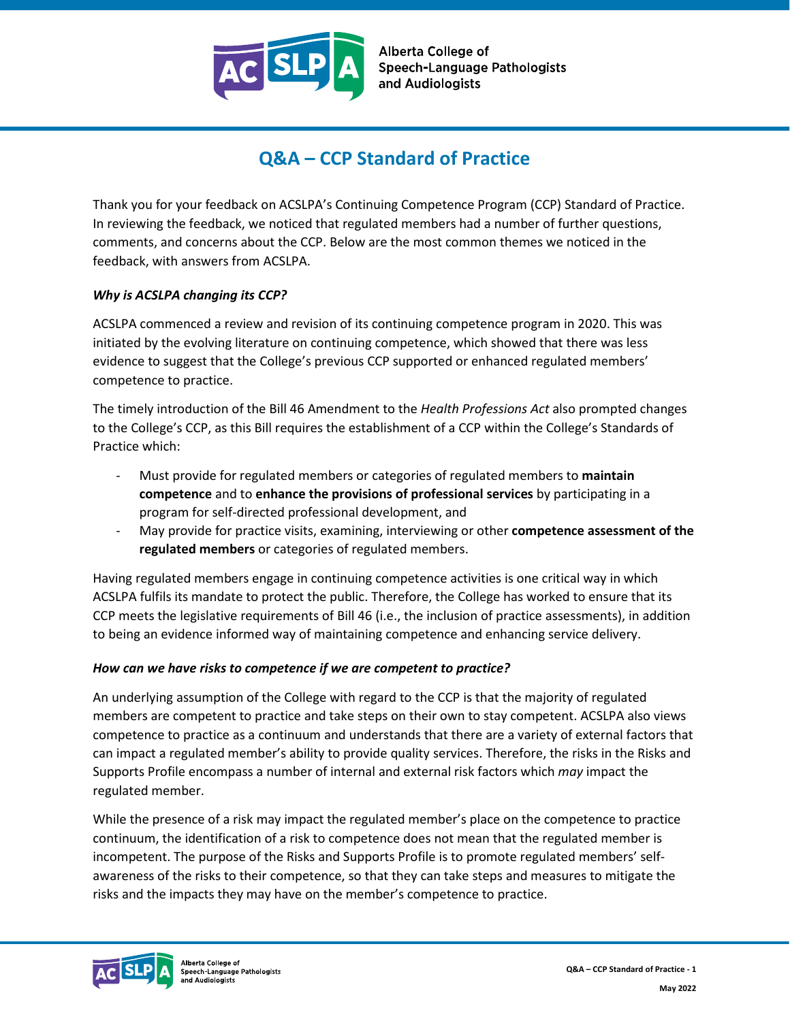

# **Q&A – CCP Standard of Practice**

Thank you for your feedback on ACSLPA's Continuing Competence Program (CCP) Standard of Practice. In reviewing the feedback, we noticed that regulated members had a number of further questions, comments, and concerns about the CCP. Below are the most common themes we noticed in the feedback, with answers from ACSLPA.

#### *Why is ACSLPA changing its CCP?*

ACSLPA commenced a review and revision of its continuing competence program in 2020. This was initiated by the evolving literature on continuing competence, which showed that there was less evidence to suggest that the College's previous CCP supported or enhanced regulated members' competence to practice.

The timely introduction of the Bill 46 Amendment to the *Health Professions Act* also prompted changes to the College's CCP, as this Bill requires the establishment of a CCP within the College's Standards of Practice which:

- Must provide for regulated members or categories of regulated members to **maintain competence** and to **enhance the provisions of professional services** by participating in a program for self-directed professional development, and
- May provide for practice visits, examining, interviewing or other **competence assessment of the regulated members** or categories of regulated members.

Having regulated members engage in continuing competence activities is one critical way in which ACSLPA fulfils its mandate to protect the public. Therefore, the College has worked to ensure that its CCP meets the legislative requirements of Bill 46 (i.e., the inclusion of practice assessments), in addition to being an evidence informed way of maintaining competence and enhancing service delivery.

#### *How can we have risks to competence if we are competent to practice?*

An underlying assumption of the College with regard to the CCP is that the majority of regulated members are competent to practice and take steps on their own to stay competent. ACSLPA also views competence to practice as a continuum and understands that there are a variety of external factors that can impact a regulated member's ability to provide quality services. Therefore, the risks in the Risks and Supports Profile encompass a number of internal and external risk factors which *may* impact the regulated member.

While the presence of a risk may impact the regulated member's place on the competence to practice continuum, the identification of a risk to competence does not mean that the regulated member is incompetent. The purpose of the Risks and Supports Profile is to promote regulated members' selfawareness of the risks to their competence, so that they can take steps and measures to mitigate the risks and the impacts they may have on the member's competence to practice.

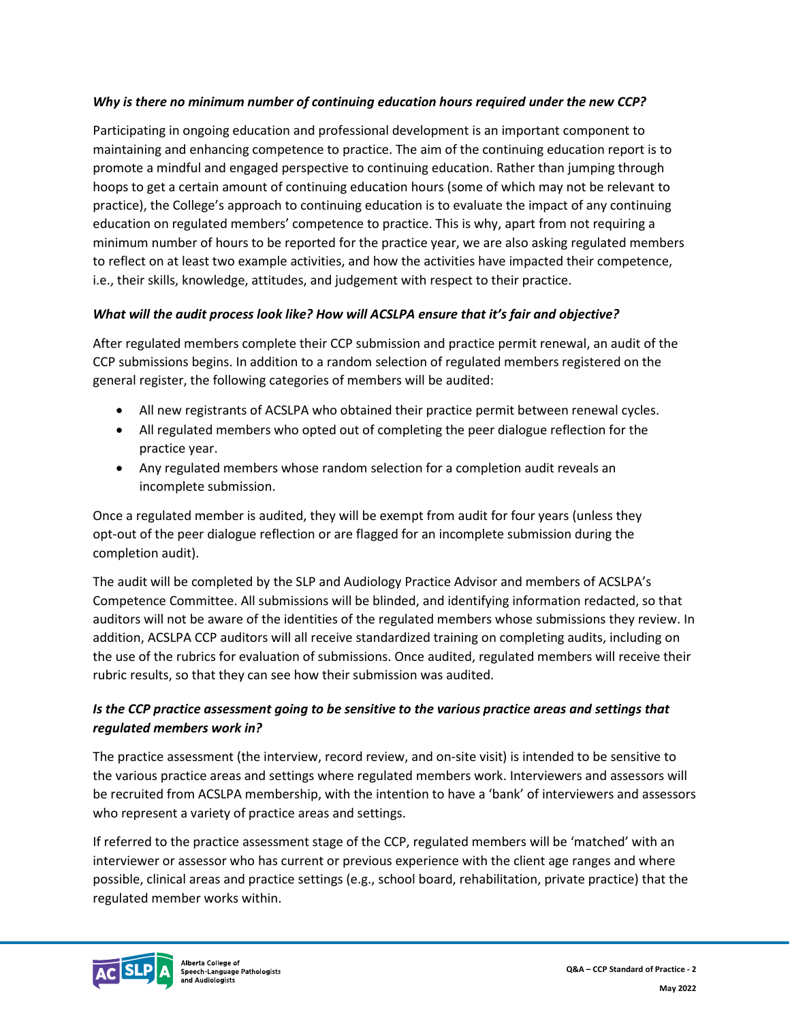### *Why is there no minimum number of continuing education hours required under the new CCP?*

Participating in ongoing education and professional development is an important component to maintaining and enhancing competence to practice. The aim of the continuing education report is to promote a mindful and engaged perspective to continuing education. Rather than jumping through hoops to get a certain amount of continuing education hours (some of which may not be relevant to practice), the College's approach to continuing education is to evaluate the impact of any continuing education on regulated members' competence to practice. This is why, apart from not requiring a minimum number of hours to be reported for the practice year, we are also asking regulated members to reflect on at least two example activities, and how the activities have impacted their competence, i.e., their skills, knowledge, attitudes, and judgement with respect to their practice.

### *What will the audit process look like? How will ACSLPA ensure that it's fair and objective?*

After regulated members complete their CCP submission and practice permit renewal, an audit of the CCP submissions begins. In addition to a random selection of regulated members registered on the general register, the following categories of members will be audited:

- All new registrants of ACSLPA who obtained their practice permit between renewal cycles.
- All regulated members who opted out of completing the peer dialogue reflection for the practice year.
- Any regulated members whose random selection for a completion audit reveals an incomplete submission.

Once a regulated member is audited, they will be exempt from audit for four years (unless they opt-out of the peer dialogue reflection or are flagged for an incomplete submission during the completion audit).

The audit will be completed by the SLP and Audiology Practice Advisor and members of ACSLPA's Competence Committee. All submissions will be blinded, and identifying information redacted, so that auditors will not be aware of the identities of the regulated members whose submissions they review. In addition, ACSLPA CCP auditors will all receive standardized training on completing audits, including on the use of the rubrics for evaluation of submissions. Once audited, regulated members will receive their rubric results, so that they can see how their submission was audited.

# *Is the CCP practice assessment going to be sensitive to the various practice areas and settings that regulated members work in?*

The practice assessment (the interview, record review, and on-site visit) is intended to be sensitive to the various practice areas and settings where regulated members work. Interviewers and assessors will be recruited from ACSLPA membership, with the intention to have a 'bank' of interviewers and assessors who represent a variety of practice areas and settings.

If referred to the practice assessment stage of the CCP, regulated members will be 'matched' with an interviewer or assessor who has current or previous experience with the client age ranges and where possible, clinical areas and practice settings (e.g., school board, rehabilitation, private practice) that the regulated member works within.

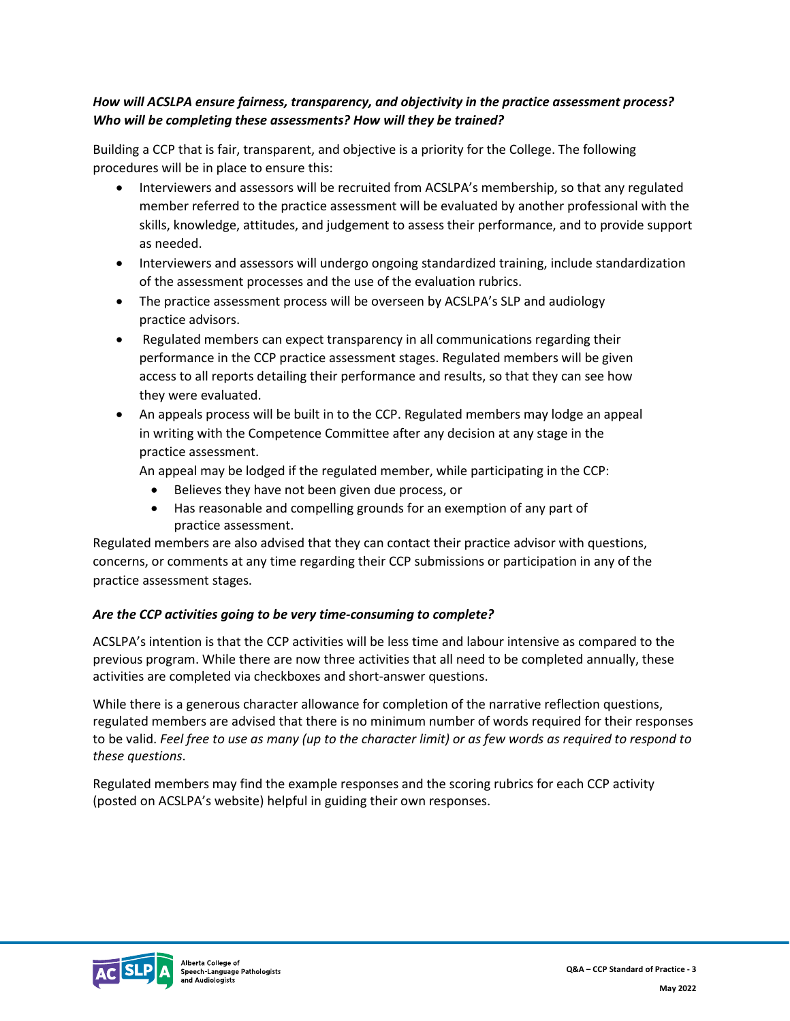# *How will ACSLPA ensure fairness, transparency, and objectivity in the practice assessment process? Who will be completing these assessments? How will they be trained?*

Building a CCP that is fair, transparent, and objective is a priority for the College. The following procedures will be in place to ensure this:

- Interviewers and assessors will be recruited from ACSLPA's membership, so that any regulated member referred to the practice assessment will be evaluated by another professional with the skills, knowledge, attitudes, and judgement to assess their performance, and to provide support as needed.
- Interviewers and assessors will undergo ongoing standardized training, include standardization of the assessment processes and the use of the evaluation rubrics.
- The practice assessment process will be overseen by ACSLPA's SLP and audiology practice advisors.
- Regulated members can expect transparency in all communications regarding their performance in the CCP practice assessment stages. Regulated members will be given access to all reports detailing their performance and results, so that they can see how they were evaluated.
- An appeals process will be built in to the CCP. Regulated members may lodge an appeal in writing with the Competence Committee after any decision at any stage in the practice assessment.

An appeal may be lodged if the regulated member, while participating in the CCP:

- Believes they have not been given due process, or
- Has reasonable and compelling grounds for an exemption of any part of practice assessment.

Regulated members are also advised that they can contact their practice advisor with questions, concerns, or comments at any time regarding their CCP submissions or participation in any of the practice assessment stages.

# *Are the CCP activities going to be very time-consuming to complete?*

ACSLPA's intention is that the CCP activities will be less time and labour intensive as compared to the previous program. While there are now three activities that all need to be completed annually, these activities are completed via checkboxes and short-answer questions.

While there is a generous character allowance for completion of the narrative reflection questions, regulated members are advised that there is no minimum number of words required for their responses to be valid. *Feel free to use as many (up to the character limit) or as few words as required to respond to these questions*.

Regulated members may find the example responses and the scoring rubrics for each CCP activity (posted on ACSLPA's website) helpful in guiding their own responses.